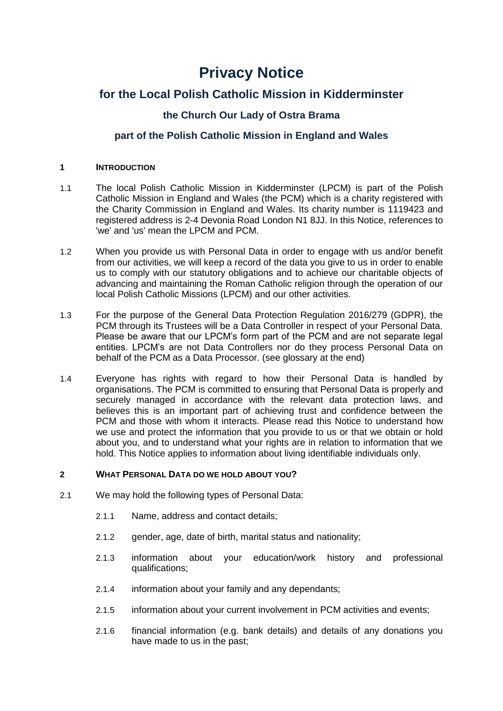# **Privacy Notice**

## **for the Local Polish Catholic Mission in Kidderminster**

## **the Church Our Lady of Ostra Brama**

### **part of the Polish Catholic Mission in England and Wales**

#### **1 INTRODUCTION**

- 1.1 The local Polish Catholic Mission in Kidderminster (LPCM) is part of the Polish Catholic Mission in England and Wales (the PCM) which is a charity registered with the Charity Commission in England and Wales. Its charity number is 1119423 and registered address is 2-4 Devonia Road London N1 8JJ. In this Notice, references to 'we' and 'us' mean the LPCM and PCM.
- 1.2 When you provide us with Personal Data in order to engage with us and/or benefit from our activities, we will keep a record of the data you give to us in order to enable us to comply with our statutory obligations and to achieve our charitable objects of advancing and maintaining the Roman Catholic religion through the operation of our local Polish Catholic Missions (LPCM) and our other activities.
- 1.3 For the purpose of the General Data Protection Regulation 2016/279 (GDPR), the PCM through its Trustees will be a Data Controller in respect of your Personal Data. Please be aware that our LPCM's form part of the PCM and are not separate legal entities. LPCM's are not Data Controllers nor do they process Personal Data on behalf of the PCM as a Data Processor. (see glossary at the end)
- 1.4 Everyone has rights with regard to how their Personal Data is handled by organisations. The PCM is committed to ensuring that Personal Data is properly and securely managed in accordance with the relevant data protection laws, and believes this is an important part of achieving trust and confidence between the PCM and those with whom it interacts. Please read this Notice to understand how we use and protect the information that you provide to us or that we obtain or hold about you, and to understand what your rights are in relation to information that we hold. This Notice applies to information about living identifiable individuals only.

#### **2 WHAT PERSONAL DATA DO WE HOLD ABOUT YOU?**

- 2.1 We may hold the following types of Personal Data:
	- 2.1.1 Name, address and contact details;
	- 2.1.2 gender, age, date of birth, marital status and nationality;
	- 2.1.3 information about your education/work history and professional qualifications;
	- 2.1.4 information about your family and any dependants;
	- 2.1.5 information about your current involvement in PCM activities and events;
	- 2.1.6 financial information (e.g. bank details) and details of any donations you have made to us in the past;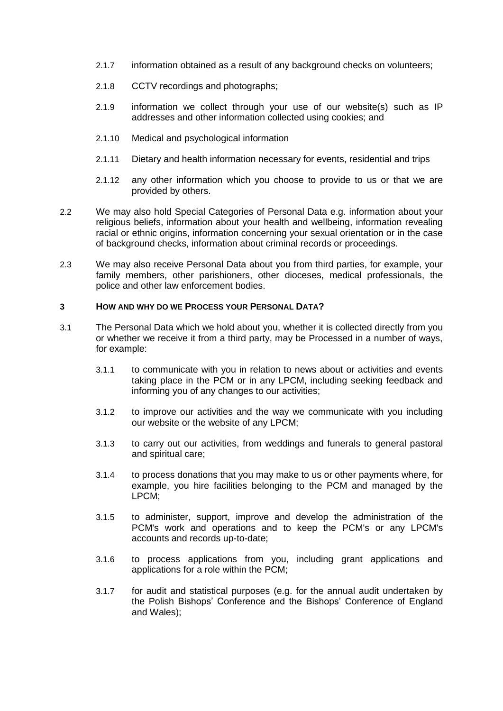- 2.1.7 information obtained as a result of any background checks on volunteers;
- 2.1.8 CCTV recordings and photographs;
- 2.1.9 information we collect through your use of our website(s) such as IP addresses and other information collected using cookies; and
- 2.1.10 Medical and psychological information
- 2.1.11 Dietary and health information necessary for events, residential and trips
- 2.1.12 any other information which you choose to provide to us or that we are provided by others.
- 2.2 We may also hold Special Categories of Personal Data e.g. information about your religious beliefs, information about your health and wellbeing, information revealing racial or ethnic origins, information concerning your sexual orientation or in the case of background checks, information about criminal records or proceedings.
- 2.3 We may also receive Personal Data about you from third parties, for example, your family members, other parishioners, other dioceses, medical professionals, the police and other law enforcement bodies.

#### **3 HOW AND WHY DO WE PROCESS YOUR PERSONAL DATA?**

- 3.1 The Personal Data which we hold about you, whether it is collected directly from you or whether we receive it from a third party, may be Processed in a number of ways, for example:
	- 3.1.1 to communicate with you in relation to news about or activities and events taking place in the PCM or in any LPCM, including seeking feedback and informing you of any changes to our activities;
	- 3.1.2 to improve our activities and the way we communicate with you including our website or the website of any LPCM;
	- 3.1.3 to carry out our activities, from weddings and funerals to general pastoral and spiritual care;
	- 3.1.4 to process donations that you may make to us or other payments where, for example, you hire facilities belonging to the PCM and managed by the LPCM;
	- 3.1.5 to administer, support, improve and develop the administration of the PCM's work and operations and to keep the PCM's or any LPCM's accounts and records up-to-date;
	- 3.1.6 to process applications from you, including grant applications and applications for a role within the PCM;
	- 3.1.7 for audit and statistical purposes (e.g. for the annual audit undertaken by the Polish Bishops' Conference and the Bishops' Conference of England and Wales);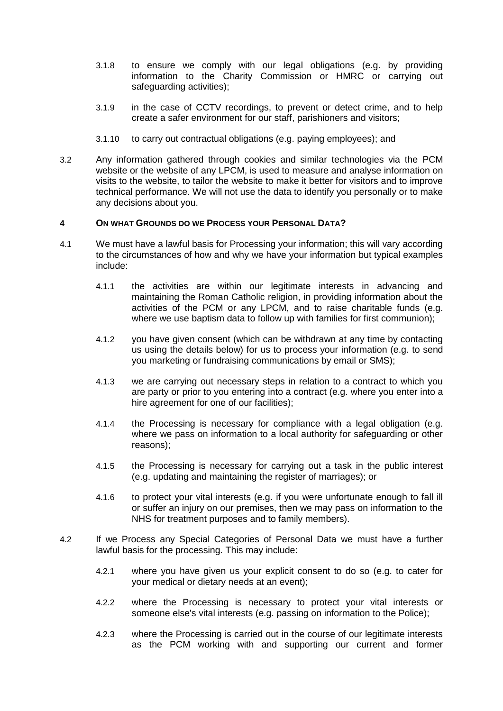- 3.1.8 to ensure we comply with our legal obligations (e.g. by providing information to the Charity Commission or HMRC or carrying out safeguarding activities);
- 3.1.9 in the case of CCTV recordings, to prevent or detect crime, and to help create a safer environment for our staff, parishioners and visitors;
- 3.1.10 to carry out contractual obligations (e.g. paying employees); and
- 3.2 Any information gathered through cookies and similar technologies via the PCM website or the website of any LPCM, is used to measure and analyse information on visits to the website, to tailor the website to make it better for visitors and to improve technical performance. We will not use the data to identify you personally or to make any decisions about you.

#### **4 ON WHAT GROUNDS DO WE PROCESS YOUR PERSONAL DATA?**

- 4.1 We must have a lawful basis for Processing your information; this will vary according to the circumstances of how and why we have your information but typical examples include:
	- 4.1.1 the activities are within our legitimate interests in advancing and maintaining the Roman Catholic religion, in providing information about the activities of the PCM or any LPCM, and to raise charitable funds (e.g. where we use baptism data to follow up with families for first communion);
	- 4.1.2 you have given consent (which can be withdrawn at any time by contacting us using the details below) for us to process your information (e.g. to send you marketing or fundraising communications by email or SMS);
	- 4.1.3 we are carrying out necessary steps in relation to a contract to which you are party or prior to you entering into a contract (e.g. where you enter into a hire agreement for one of our facilities);
	- 4.1.4 the Processing is necessary for compliance with a legal obligation (e.g. where we pass on information to a local authority for safeguarding or other reasons);
	- 4.1.5 the Processing is necessary for carrying out a task in the public interest (e.g. updating and maintaining the register of marriages); or
	- 4.1.6 to protect your vital interests (e.g. if you were unfortunate enough to fall ill or suffer an injury on our premises, then we may pass on information to the NHS for treatment purposes and to family members).
- 4.2 If we Process any Special Categories of Personal Data we must have a further lawful basis for the processing. This may include:
	- 4.2.1 where you have given us your explicit consent to do so (e.g. to cater for your medical or dietary needs at an event);
	- 4.2.2 where the Processing is necessary to protect your vital interests or someone else's vital interests (e.g. passing on information to the Police);
	- 4.2.3 where the Processing is carried out in the course of our legitimate interests as the PCM working with and supporting our current and former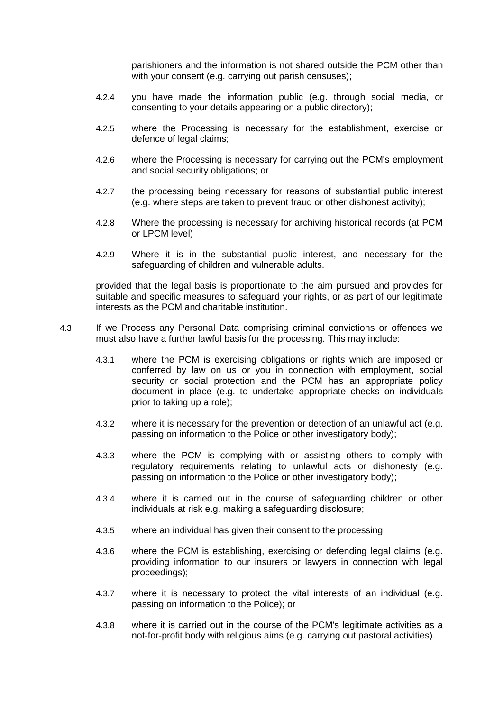parishioners and the information is not shared outside the PCM other than with your consent (e.g. carrying out parish censuses);

- 4.2.4 you have made the information public (e.g. through social media, or consenting to your details appearing on a public directory);
- 4.2.5 where the Processing is necessary for the establishment, exercise or defence of legal claims;
- 4.2.6 where the Processing is necessary for carrying out the PCM's employment and social security obligations; or
- 4.2.7 the processing being necessary for reasons of substantial public interest (e.g. where steps are taken to prevent fraud or other dishonest activity);
- 4.2.8 Where the processing is necessary for archiving historical records (at PCM or LPCM level)
- 4.2.9 Where it is in the substantial public interest, and necessary for the safeguarding of children and vulnerable adults.

provided that the legal basis is proportionate to the aim pursued and provides for suitable and specific measures to safeguard your rights, or as part of our legitimate interests as the PCM and charitable institution.

- 4.3 If we Process any Personal Data comprising criminal convictions or offences we must also have a further lawful basis for the processing. This may include:
	- 4.3.1 where the PCM is exercising obligations or rights which are imposed or conferred by law on us or you in connection with employment, social security or social protection and the PCM has an appropriate policy document in place (e.g. to undertake appropriate checks on individuals prior to taking up a role);
	- 4.3.2 where it is necessary for the prevention or detection of an unlawful act (e.g. passing on information to the Police or other investigatory body);
	- 4.3.3 where the PCM is complying with or assisting others to comply with regulatory requirements relating to unlawful acts or dishonesty (e.g. passing on information to the Police or other investigatory body);
	- 4.3.4 where it is carried out in the course of safeguarding children or other individuals at risk e.g. making a safeguarding disclosure;
	- 4.3.5 where an individual has given their consent to the processing;
	- 4.3.6 where the PCM is establishing, exercising or defending legal claims (e.g. providing information to our insurers or lawyers in connection with legal proceedings);
	- 4.3.7 where it is necessary to protect the vital interests of an individual (e.g. passing on information to the Police); or
	- 4.3.8 where it is carried out in the course of the PCM's legitimate activities as a not-for-profit body with religious aims (e.g. carrying out pastoral activities).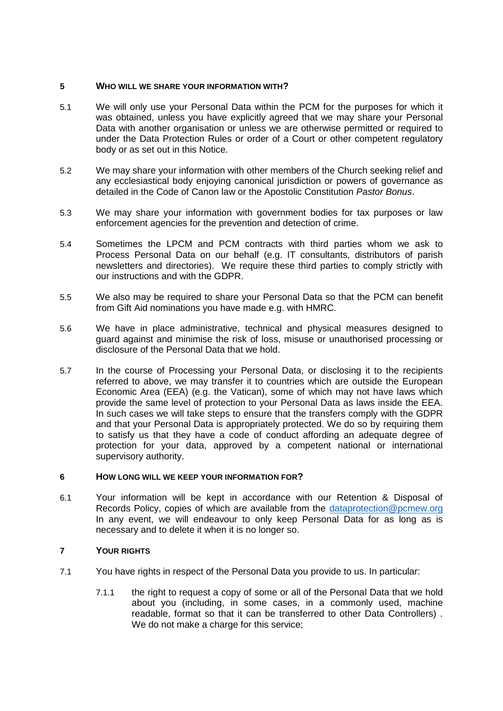#### **5 WHO WILL WE SHARE YOUR INFORMATION WITH?**

- 5.1 We will only use your Personal Data within the PCM for the purposes for which it was obtained, unless you have explicitly agreed that we may share your Personal Data with another organisation or unless we are otherwise permitted or required to under the Data Protection Rules or order of a Court or other competent regulatory body or as set out in this Notice.
- 5.2 We may share your information with other members of the Church seeking relief and any ecclesiastical body enjoying canonical jurisdiction or powers of governance as detailed in the Code of Canon law or the Apostolic Constitution *Pastor Bonus*.
- 5.3 We may share your information with government bodies for tax purposes or law enforcement agencies for the prevention and detection of crime.
- 5.4 Sometimes the LPCM and PCM contracts with third parties whom we ask to Process Personal Data on our behalf (e.g. IT consultants, distributors of parish newsletters and directories). We require these third parties to comply strictly with our instructions and with the GDPR.
- 5.5 We also may be required to share your Personal Data so that the PCM can benefit from Gift Aid nominations you have made e.g. with HMRC.
- 5.6 We have in place administrative, technical and physical measures designed to guard against and minimise the risk of loss, misuse or unauthorised processing or disclosure of the Personal Data that we hold.
- 5.7 In the course of Processing your Personal Data, or disclosing it to the recipients referred to above, we may transfer it to countries which are outside the European Economic Area (EEA) (e.g. the Vatican), some of which may not have laws which provide the same level of protection to your Personal Data as laws inside the EEA. In such cases we will take steps to ensure that the transfers comply with the GDPR and that your Personal Data is appropriately protected. We do so by requiring them to satisfy us that they have a code of conduct affording an adequate degree of protection for your data, approved by a competent national or international supervisory authority.

#### **6 HOW LONG WILL WE KEEP YOUR INFORMATION FOR?**

6.1 Your information will be kept in accordance with our Retention & Disposal of Records Policy, copies of which are available from the [dataprotection@pcmew.org](mailto:dataprotection@pcmew.org) In any event, we will endeavour to only keep Personal Data for as long as is necessary and to delete it when it is no longer so.

#### **7 YOUR RIGHTS**

- 7.1 You have rights in respect of the Personal Data you provide to us. In particular:
	- 7.1.1 the right to request a copy of some or all of the Personal Data that we hold about you (including, in some cases, in a commonly used, machine readable, format so that it can be transferred to other Data Controllers) . We do not make a charge for this service: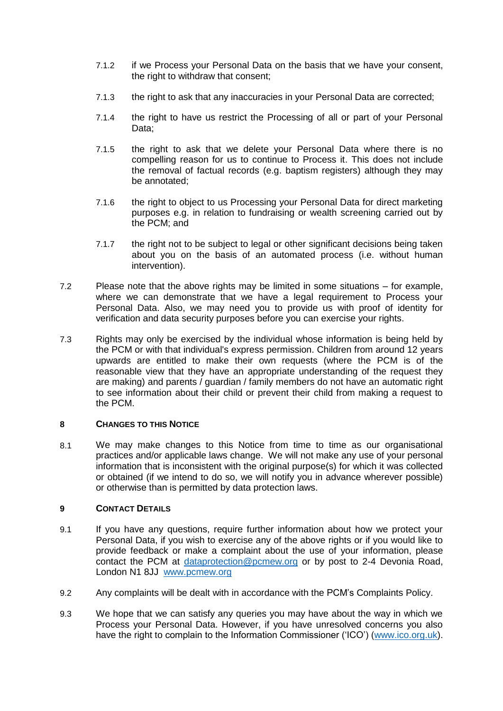- 7.1.2 if we Process your Personal Data on the basis that we have your consent, the right to withdraw that consent;
- 7.1.3 the right to ask that any inaccuracies in your Personal Data are corrected;
- 7.1.4 the right to have us restrict the Processing of all or part of your Personal Data:
- 7.1.5 the right to ask that we delete your Personal Data where there is no compelling reason for us to continue to Process it. This does not include the removal of factual records (e.g. baptism registers) although they may be annotated;
- 7.1.6 the right to object to us Processing your Personal Data for direct marketing purposes e.g. in relation to fundraising or wealth screening carried out by the PCM; and
- 7.1.7 the right not to be subject to legal or other significant decisions being taken about you on the basis of an automated process (i.e. without human intervention).
- 7.2 Please note that the above rights may be limited in some situations for example, where we can demonstrate that we have a legal requirement to Process your Personal Data. Also, we may need you to provide us with proof of identity for verification and data security purposes before you can exercise your rights.
- 7.3 Rights may only be exercised by the individual whose information is being held by the PCM or with that individual's express permission. Children from around 12 years upwards are entitled to make their own requests (where the PCM is of the reasonable view that they have an appropriate understanding of the request they are making) and parents / guardian / family members do not have an automatic right to see information about their child or prevent their child from making a request to the PCM.

#### **8 CHANGES TO THIS NOTICE**

8.1 We may make changes to this Notice from time to time as our organisational practices and/or applicable laws change. We will not make any use of your personal information that is inconsistent with the original purpose(s) for which it was collected or obtained (if we intend to do so, we will notify you in advance wherever possible) or otherwise than is permitted by data protection laws.

#### **9 CONTACT DETAILS**

- 9.1 If you have any questions, require further information about how we protect your Personal Data, if you wish to exercise any of the above rights or if you would like to provide feedback or make a complaint about the use of your information, please contact the PCM at [dataprotection@pcmew.org](mailto:dataprotection@pcmew.org) or by post to 2-4 Devonia Road, London N1 8JJ [www.pcmew.org](http://www.pcmew.org/)
- 9.2 Any complaints will be dealt with in accordance with the PCM's Complaints Policy.
- 9.3 We hope that we can satisfy any queries you may have about the way in which we Process your Personal Data. However, if you have unresolved concerns you also have the right to complain to the Information Commissioner ('ICO') [\(www.ico.org.uk\)](http://www.ico.org.uk/).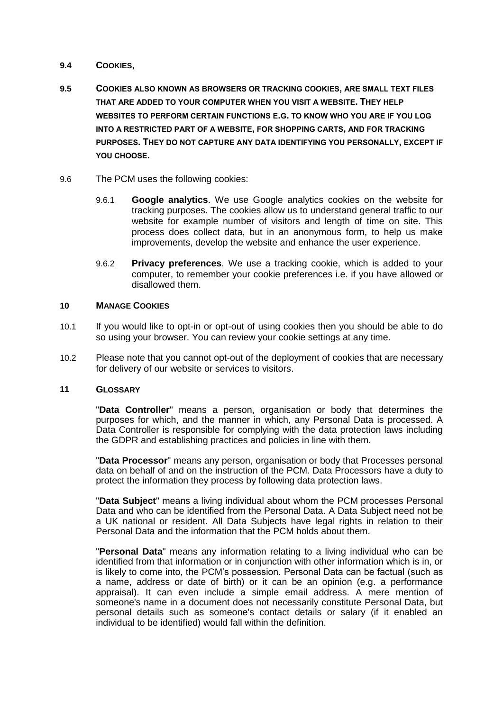#### **9.4 COOKIES,**

- **9.5 COOKIES ALSO KNOWN AS BROWSERS OR TRACKING COOKIES, ARE SMALL TEXT FILES THAT ARE ADDED TO YOUR COMPUTER WHEN YOU VISIT A WEBSITE. THEY HELP WEBSITES TO PERFORM CERTAIN FUNCTIONS E.G. TO KNOW WHO YOU ARE IF YOU LOG INTO A RESTRICTED PART OF A WEBSITE, FOR SHOPPING CARTS, AND FOR TRACKING PURPOSES. THEY DO NOT CAPTURE ANY DATA IDENTIFYING YOU PERSONALLY, EXCEPT IF YOU CHOOSE.**
- 9.6 The PCM uses the following cookies:
	- 9.6.1 **Google analytics**. We use Google analytics cookies on the website for tracking purposes. The cookies allow us to understand general traffic to our website for example number of visitors and length of time on site. This process does collect data, but in an anonymous form, to help us make improvements, develop the website and enhance the user experience.
	- 9.6.2 **Privacy preferences**. We use a tracking cookie, which is added to your computer, to remember your cookie preferences i.e. if you have allowed or disallowed them.

#### **10 MANAGE COOKIES**

- 10.1 If you would like to opt-in or opt-out of using cookies then you should be able to do so using your browser. You can review your cookie settings at any time.
- 10.2 Please note that you cannot opt-out of the deployment of cookies that are necessary for delivery of our website or services to visitors.

#### **11 GLOSSARY**

"**Data Controller**" means a person, organisation or body that determines the purposes for which, and the manner in which, any Personal Data is processed. A Data Controller is responsible for complying with the data protection laws including the GDPR and establishing practices and policies in line with them.

"**Data Processor**" means any person, organisation or body that Processes personal data on behalf of and on the instruction of the PCM. Data Processors have a duty to protect the information they process by following data protection laws.

"**Data Subject**" means a living individual about whom the PCM processes Personal Data and who can be identified from the Personal Data. A Data Subject need not be a UK national or resident. All Data Subjects have legal rights in relation to their Personal Data and the information that the PCM holds about them.

"**Personal Data**" means any information relating to a living individual who can be identified from that information or in conjunction with other information which is in, or is likely to come into, the PCM's possession. Personal Data can be factual (such as a name, address or date of birth) or it can be an opinion (e.g. a performance appraisal). It can even include a simple email address. A mere mention of someone's name in a document does not necessarily constitute Personal Data, but personal details such as someone's contact details or salary (if it enabled an individual to be identified) would fall within the definition.